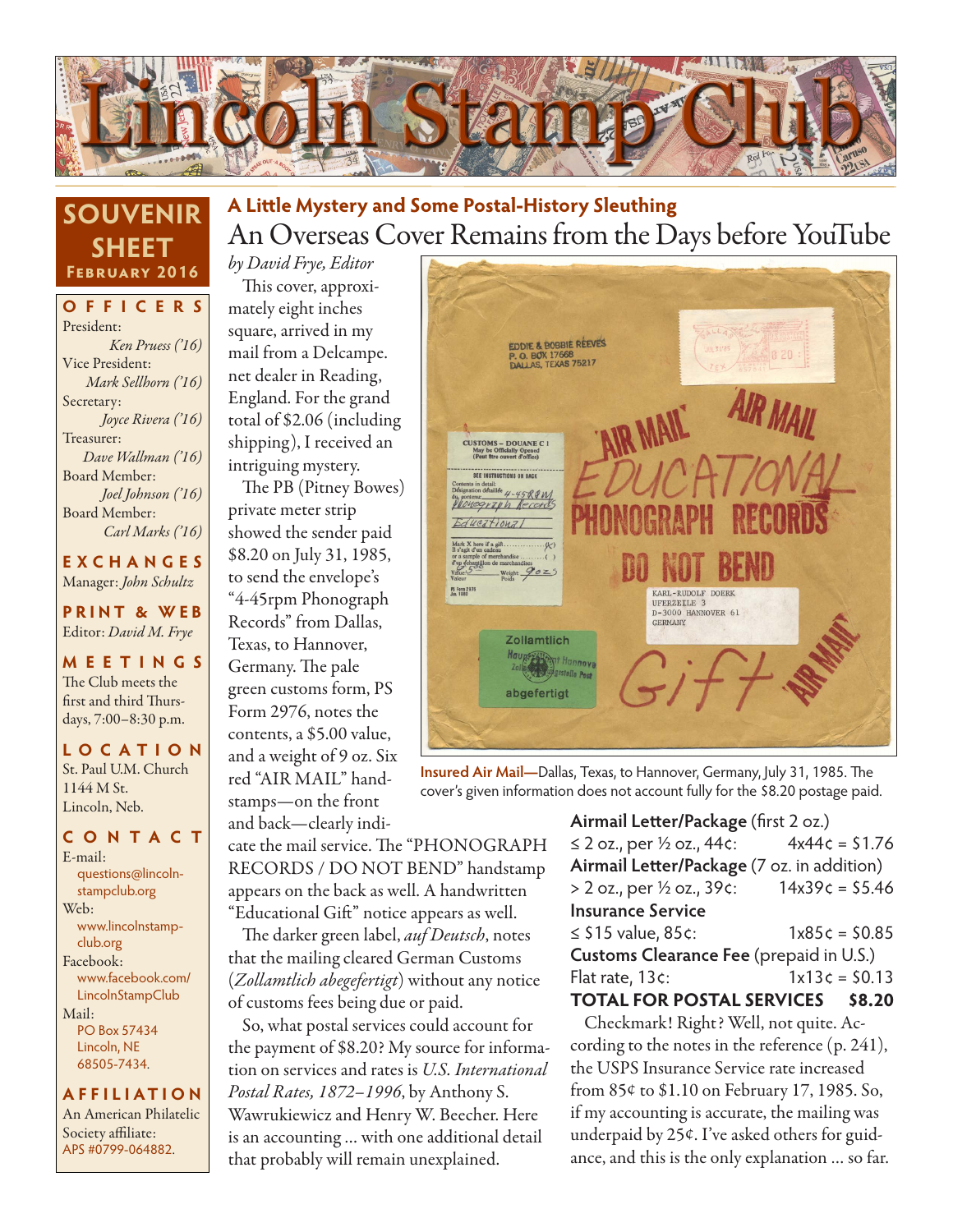

### **SOUVENIR SHEET February 2016**

**OFFICERS** President: *Ken Pruess ('16)* Vice President: *Mark Sellhorn ('16)* Secretary: *Joyce Rivera ('16)* Treasurer: *Dave Wallman ('16)* Board Member: *Joel Johnson ('16)* Board Member: *Carl Marks ('16)*

**EXCHANGES** Manager: *John Schultz*

**PRINT & WEB** Editor: *David M. Frye*

**MEETINGS** The Club meets the first and third Thursdays, 7:00–8:30 p.m.

**LO C ATI O N** St. Paul U.M. Church 1144 M St. Lincoln, Neb.

#### **CONTACT** E-mail: questions@lincolnstampclub.org Web: www.lincolnstampclub.org Facebook: www.facebook.com/

LincolnStampClub Mail: PO Box 57434 Lincoln, NE 68505-7434.

#### **AFFI LIATI O N**

An American Philatelic Society affiliate: APS #0799-064882.

### An Overseas Cover Remains from the Days before YouTube **A Little Mystery and Some Postal-History Sleuthing**

*by David Frye, Editor* This cover, approximately eight inches square, arrived in my mail from a Delcampe. net dealer in Reading, England. For the grand total of \$2.06 (including shipping), I received an intriguing mystery.

The PB (Pitney Bowes) private meter strip showed the sender paid \$8.20 on July 31, 1985, to send the envelope's "4-45rpm Phonograph Records" from Dallas, Texas, to Hannover, Germany. The pale green customs form, PS Form 2976, notes the contents, a \$5.00 value, and a weight of 9 oz. Six red "AIR MAIL" handstamps—on the front

and back—clearly indi-

cate the mail service. The "PHONOGRAPH RECORDS / DO NOT BEND" handstamp appears on the back as well. A handwritten "Educational Gift" notice appears as well.

The darker green label, *auf Deutsch*, notes that the mailing cleared German Customs (*Zollamtlich abegefertigt*) without any notice of customs fees being due or paid.

So, what postal services could account for the payment of \$8.20? My source for information on services and rates is *U.S. International Postal Rates, 1872–1996*, by Anthony S. Wawrukiewicz and Henry W. Beecher. Here is an accounting … with one additional detail that probably will remain unexplained.



**Insured Air Mail—**Dallas, Texas, to Hannover, Germany, July 31, 1985. The cover's given information does not account fully for the \$8.20 postage paid.

#### **Airmail Letter/Package** (first 2 oz.) ≤ 2 oz., per ½ oz., 44 $\epsilon$ : 4x44 $\epsilon$  = \$1.76 **Airmail Letter/Package** (7 oz. in addition) > 2 oz., per ½ oz., 39¢: 14x39¢ = \$5.46 **Insurance Service** ≤ \$15 value, 85¢: 1x85¢ = \$0.85 **Customs Clearance Fee** (prepaid in U.S.)

#### Flat rate,  $13c$ :  $1 \times 13c = 50.13$ **TOTAL FOR POSTAL SERVICES \$8.20**

Checkmark! Right? Well, not quite. According to the notes in the reference (p. 241), the USPS Insurance Service rate increased from 85¢ to \$1.10 on February 17, 1985. So, if my accounting is accurate, the mailing was underpaid by 25¢. I've asked others for guidance, and this is the only explanation … so far.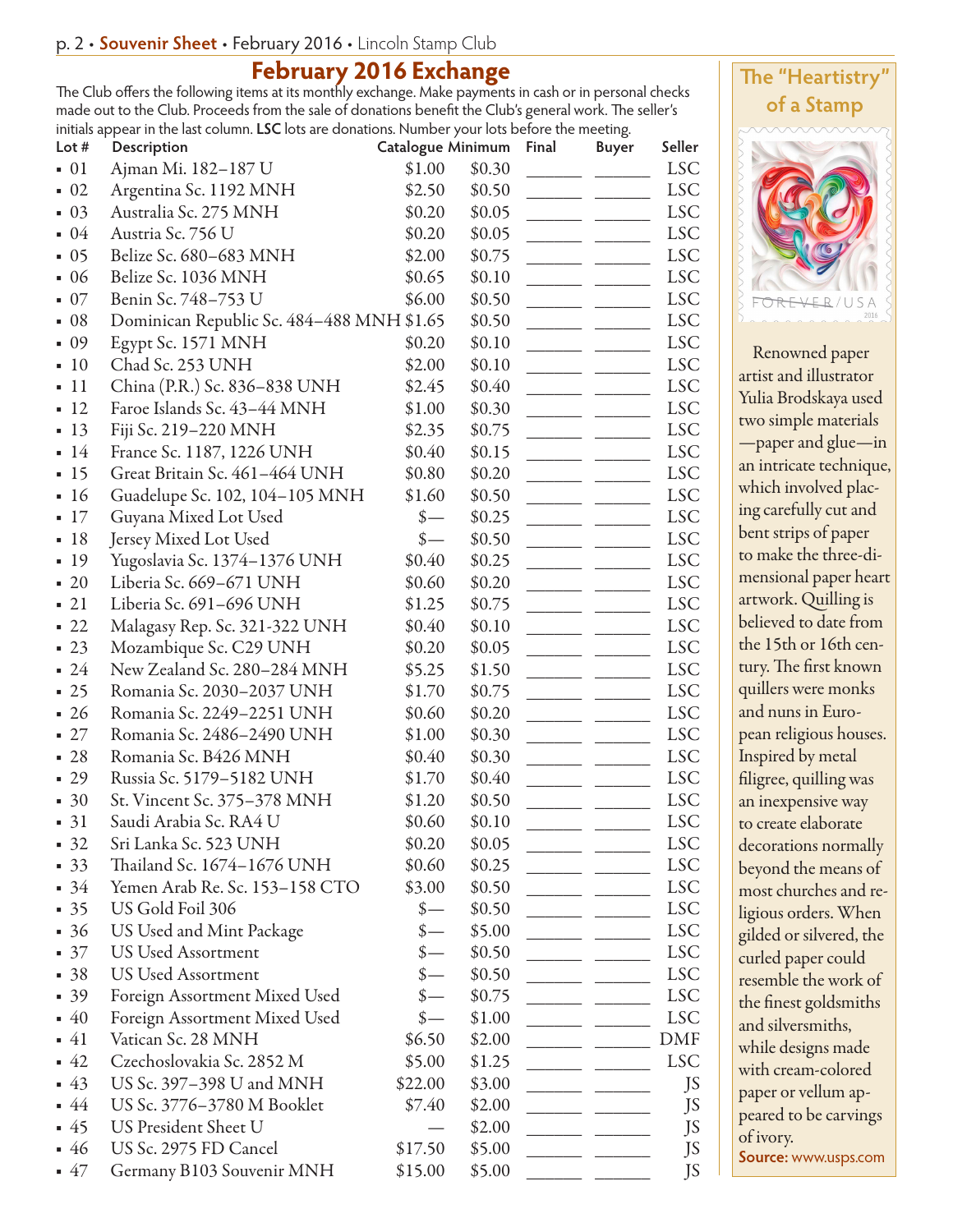#### **February 2016 Exchange**

The Club offers the following items at its monthly exchange. Make payments in cash or in personal checks made out to the Club. Proceeds from the sale of donations benefit the Club's general work. The seller's initials appear in the last column. **LSC** lots are donations. Number your lots before the meeting.

| Lot $#$           | Description                               | Catalogue Minimum |        | Final | <b>Buyer</b> | Seller     |
|-------------------|-------------------------------------------|-------------------|--------|-------|--------------|------------|
| $\blacksquare$ 01 | Ajman Mi. 182-187 U                       | \$1.00            | \$0.30 |       |              | <b>LSC</b> |
| $\blacksquare$ 02 | Argentina Sc. 1192 MNH                    | \$2.50            | \$0.50 |       |              | <b>LSC</b> |
| $\blacksquare$ 03 | Australia Sc. 275 MNH                     | \$0.20            | \$0.05 |       |              | <b>LSC</b> |
| -04               | Austria Sc. 756 U                         | \$0.20            | \$0.05 |       |              | <b>LSC</b> |
| 05                | Belize Sc. 680-683 MNH                    | \$2.00            | \$0.75 |       |              | <b>LSC</b> |
| -06               | Belize Sc. 1036 MNH                       | \$0.65            | \$0.10 |       |              | <b>LSC</b> |
| 07                | Benin Sc. 748-753 U                       | \$6.00            | \$0.50 |       |              | <b>LSC</b> |
| $-08$             | Dominican Republic Sc. 484-488 MNH \$1.65 |                   | \$0.50 |       |              | <b>LSC</b> |
| .09               | Egypt Sc. 1571 MNH                        | \$0.20            | \$0.10 |       |              | <b>LSC</b> |
| 10                | Chad Sc. 253 UNH                          | \$2.00            | \$0.10 |       |              | <b>LSC</b> |
| 11                | China (P.R.) Sc. 836-838 UNH              | \$2.45            | \$0.40 |       |              | <b>LSC</b> |
| 12                | Faroe Islands Sc. 43-44 MNH               | \$1.00            | \$0.30 |       |              | <b>LSC</b> |
| $-13$             | Fiji Sc. 219-220 MNH                      | \$2.35            | \$0.75 |       |              | <b>LSC</b> |
| $-14$             | France Sc. 1187, 1226 UNH                 | \$0.40            | \$0.15 |       |              | <b>LSC</b> |
| $-15$             | Great Britain Sc. 461-464 UNH             | \$0.80            | \$0.20 |       |              | <b>LSC</b> |
| 16                | Guadelupe Sc. 102, 104-105 MNH            | \$1.60            | \$0.50 |       |              | <b>LSC</b> |
| 17                | Guyana Mixed Lot Used                     | $\frac{\ }{s-}$   | \$0.25 |       |              | <b>LSC</b> |
| -18               | Jersey Mixed Lot Used                     | $\frac{\ }{s-}$   | \$0.50 |       |              | <b>LSC</b> |
| $-19$             | Yugoslavia Sc. 1374-1376 UNH              | \$0.40            | \$0.25 |       |              | <b>LSC</b> |
| $\blacksquare$ 20 | Liberia Sc. 669-671 UNH                   | \$0.60            | \$0.20 |       |              | <b>LSC</b> |
| 21                | Liberia Sc. 691-696 UNH                   | \$1.25            | \$0.75 |       |              | <b>LSC</b> |
| 22                | Malagasy Rep. Sc. 321-322 UNH             | \$0.40            | \$0.10 |       |              | <b>LSC</b> |
| $-23$             | Mozambique Sc. C29 UNH                    | \$0.20            | \$0.05 |       |              | <b>LSC</b> |
| $-24$             | New Zealand Sc. 280-284 MNH               | \$5.25            | \$1.50 |       |              | <b>LSC</b> |
| $-25$             | Romania Sc. 2030-2037 UNH                 | \$1.70            | \$0.75 |       |              | <b>LSC</b> |
| $-26$             | Romania Sc. 2249-2251 UNH                 | \$0.60            | \$0.20 |       |              | <b>LSC</b> |
| $-27$             | Romania Sc. 2486-2490 UNH                 | \$1.00            | \$0.30 |       |              | <b>LSC</b> |
| 28                | Romania Sc. B426 MNH                      | \$0.40            | \$0.30 |       |              | <b>LSC</b> |
|                   |                                           |                   |        |       |              |            |
| 29                | Russia Sc. 5179-5182 UNH                  | \$1.70            | \$0.40 |       |              | <b>LSC</b> |
| $\blacksquare$ 30 | St. Vincent Sc. 375-378 MNH               | \$1.20            | \$0.50 |       |              | <b>LSC</b> |
| $-31$             | Saudi Arabia Sc. RA4 U                    | \$0.60            | \$0.10 |       |              | <b>LSC</b> |
| $-32$             | Sri Lanka Sc. 523 UNH                     | \$0.20            | \$0.05 |       |              | <b>LSC</b> |
| $-33$             | Thailand Sc. 1674-1676 UNH                | \$0.60            | \$0.25 |       |              | <b>LSC</b> |
| $-34$             | Yemen Arab Re. Sc. 153-158 CTO            | \$3.00            | \$0.50 |       |              | <b>LSC</b> |
| $-35$             | US Gold Foil 306                          |                   | \$0.50 |       |              | <b>LSC</b> |
| $-36$             | US Used and Mint Package                  |                   | \$5.00 |       |              | <b>LSC</b> |
| $\blacksquare$ 37 | US Used Assortment                        | $\frac{\ }{s-}$   | \$0.50 |       |              | <b>LSC</b> |
| $-38$             | US Used Assortment                        |                   | \$0.50 |       |              | <b>LSC</b> |
| $-39$             | Foreign Assortment Mixed Used             |                   | \$0.75 |       |              | <b>LSC</b> |
| $-40$             | Foreign Assortment Mixed Used             | $\frac{\ }{s-}$   | \$1.00 |       |              | <b>LSC</b> |
| - 41              | Vatican Sc. 28 MNH                        | \$6.50            | \$2.00 |       |              | DMF        |
| $-42$             | Czechoslovakia Sc. 2852 M                 | \$5.00            | \$1.25 |       |              | <b>LSC</b> |
| $-43$             | US Sc. 397–398 U and MNH                  | \$22.00           | \$3.00 |       |              | JS         |
| $-44$             | US Sc. 3776-3780 M Booklet                | \$7.40            | \$2.00 |       |              | JS         |
| $-45$             | US President Sheet U                      |                   | \$2.00 |       |              | JS         |
| $-46$             | US Sc. 2975 FD Cancel                     | \$17.50           | \$5.00 |       |              | JS         |
| $-47$             | Germany B103 Souvenir MNH                 | \$15.00           | \$5.00 |       |              | JS         |



Renowned paper artist and illustrator Yulia Brodskaya used two simple materials —paper and glue—in an intricate technique, which involved placing carefully cut and bent strips of paper to make the three-dimensional paper heart artwork. Quilling is believed to date from the 15th or 16th century. The first known quillers were monks and nuns in European religious houses. Inspired by metal filigree, quilling was an inexpensive way to create elaborate decorations normally beyond the means of most churches and religious orders. When gilded or silvered, the curled paper could resemble the work of the finest goldsmiths and silversmiths, while designs made with cream-colored paper or vellum appeared to be carvings of ivory. **Source:** www.usps.com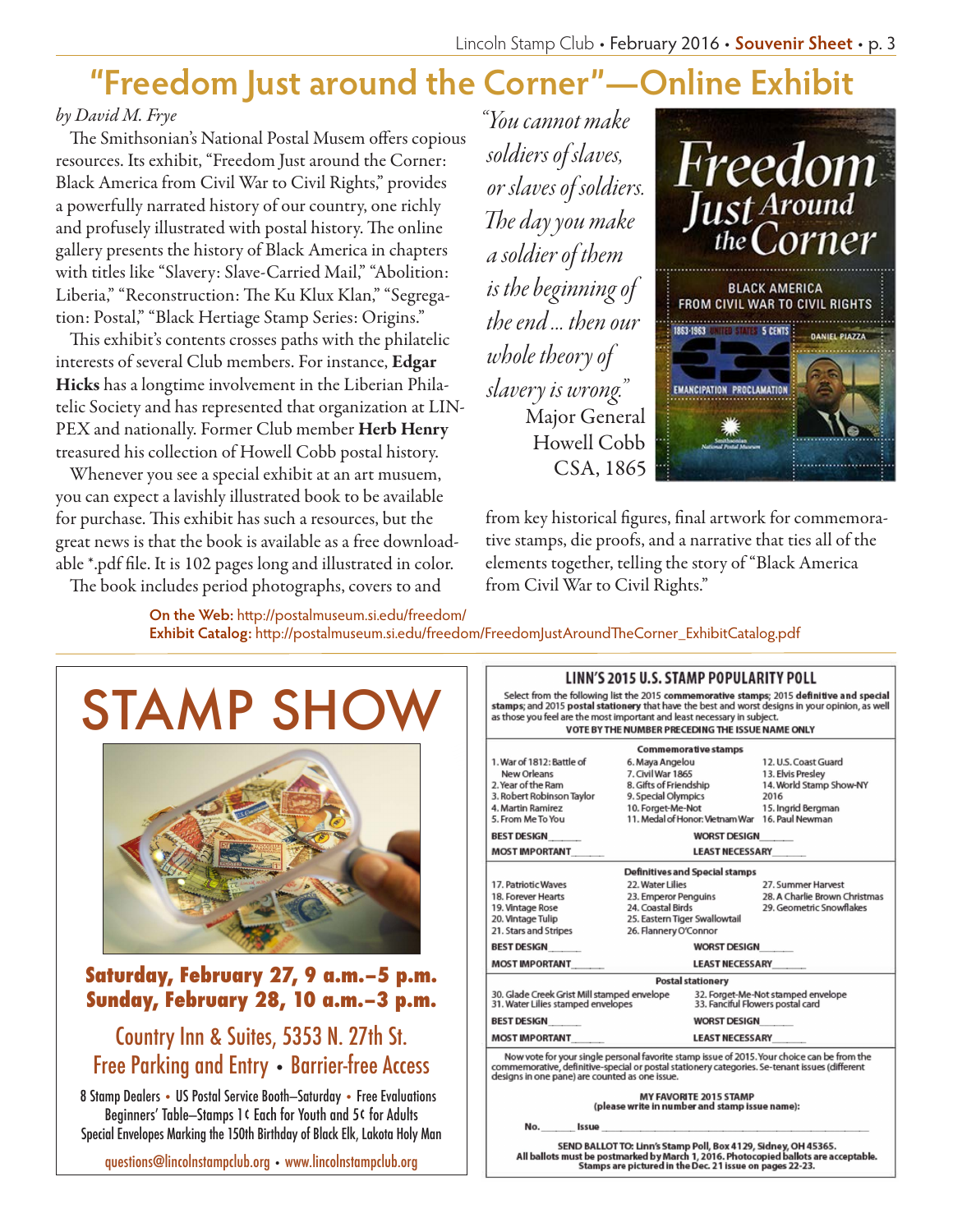## **"Freedom Just around the Corner"—Online Exhibit**

#### *by David M. Frye*

The Smithsonian's National Postal Musem offers copious resources. Its exhibit, "Freedom Just around the Corner: Black America from Civil War to Civil Rights," provides a powerfully narrated history of our country, one richly and profusely illustrated with postal history. The online gallery presents the history of Black America in chapters with titles like "Slavery: Slave-Carried Mail," "Abolition: Liberia," "Reconstruction: The Ku Klux Klan," "Segregation: Postal," "Black Hertiage Stamp Series: Origins."

This exhibit's contents crosses paths with the philatelic interests of several Club members. For instance, Edgar Hicks has a longtime involvement in the Liberian Philatelic Society and has represented that organization at LIN-PEX and nationally. Former Club member Herb Henry treasured his collection of Howell Cobb postal history.

Whenever you see a special exhibit at an art musuem, you can expect a lavishly illustrated book to be available for purchase. This exhibit has such a resources, but the great news is that the book is available as a free downloadable \*.pdf file. It is 102 pages long and illustrated in color.

The book includes period photographs, covers to and

*"You cannot make soldiers of slaves, or slaves of soldiers. The day you make a soldier of them is the beginning of the end ... then our whole theory of slavery is wrong."* Major General Howell Cobb CSA, 1865



from key historical figures, final artwork for commemorative stamps, die proofs, and a narrative that ties all of the elements together, telling the story of "Black America from Civil War to Civil Rights."

**LINN'S 2015 H.C. STAMP DODILLADITY DOLL** 

**On the Web:** http://postalmuseum.si.edu/freedom/ **Exhibit Catalog:** http://postalmuseum.si.edu/freedom/FreedomJustAroundTheCorner\_ExhibitCatalog.pdf

# STAMP SHO



### **Saturday, February 27, 9 a.m.–5 p.m. Sunday, February 28, 10 a.m.–3 p.m.**

### Country Inn & Suites, 5353 N. 27th St. Free Parking and Entry • Barrier-free Access

8 Stamp Dealers • US Postal Service Booth—Saturday • Free Evaluations Beginners' Table—Stamps 1¢ Each for Youth and 5¢ for Adults Special Envelopes Marking the 150th Birthday of Black Elk, Lakota Holy Man

questions@lincolnstampclub.org • www.lincolnstampclub.org

| LINN 32013 0.3.31AMF FUFULANII I FULL                                                                                                                                                                                                                                                                                         |                                                 |                                                                        |  |  |  |  |  |
|-------------------------------------------------------------------------------------------------------------------------------------------------------------------------------------------------------------------------------------------------------------------------------------------------------------------------------|-------------------------------------------------|------------------------------------------------------------------------|--|--|--|--|--|
| Select from the following list the 2015 commemorative stamps; 2015 definitive and special<br>stamps; and 2015 postal stationery that have the best and worst designs in your opinion, as well<br>as those you feel are the most important and least necessary in subject.<br>VOTE BY THE NUMBER PRECEDING THE ISSUE NAME ONLY |                                                 |                                                                        |  |  |  |  |  |
| <b>Commemorative stamps</b>                                                                                                                                                                                                                                                                                                   |                                                 |                                                                        |  |  |  |  |  |
| 1. War of 1812: Battle of                                                                                                                                                                                                                                                                                                     | 6. Maya Angelou                                 | 12. U.S. Coast Guard                                                   |  |  |  |  |  |
| New Orleans                                                                                                                                                                                                                                                                                                                   | 7. Civil War 1865                               | 13. Elvis Presley                                                      |  |  |  |  |  |
| 2. Year of the Ram                                                                                                                                                                                                                                                                                                            | 8. Gifts of Friendship                          | 14. World Stamp Show-NY                                                |  |  |  |  |  |
| 3. Robert Robinson Taylor                                                                                                                                                                                                                                                                                                     | 9. Special Olympics                             | 2016                                                                   |  |  |  |  |  |
| 4. Martin Ramirez                                                                                                                                                                                                                                                                                                             | 10. Forget-Me-Not                               | 15. Ingrid Bergman                                                     |  |  |  |  |  |
| 5. From Me To You                                                                                                                                                                                                                                                                                                             | 11. Medal of Honor: Vietnam War 16. Paul Newman |                                                                        |  |  |  |  |  |
| <b>BEST DESIGN</b>                                                                                                                                                                                                                                                                                                            |                                                 | <b>WORST DESIGN</b>                                                    |  |  |  |  |  |
| <b>MOST IMPORTANT</b>                                                                                                                                                                                                                                                                                                         |                                                 | <b>LEAST NECESSARY</b>                                                 |  |  |  |  |  |
| Definitives and Special stamps                                                                                                                                                                                                                                                                                                |                                                 |                                                                        |  |  |  |  |  |
| 17. Patriotic Waves                                                                                                                                                                                                                                                                                                           | 22. Water Lilies                                | 27. Summer Harvest                                                     |  |  |  |  |  |
| 18. Forever Hearts                                                                                                                                                                                                                                                                                                            | 23. Emperor Penguins                            | 28. A Charlie Brown Christmas                                          |  |  |  |  |  |
| 19. Vintage Rose                                                                                                                                                                                                                                                                                                              | 24. Coastal Birds                               | 29. Geometric Snowflakes                                               |  |  |  |  |  |
| 20. Vintage Tulip                                                                                                                                                                                                                                                                                                             | 25. Eastern Tiger Swallowtail                   |                                                                        |  |  |  |  |  |
|                                                                                                                                                                                                                                                                                                                               | 21. Stars and Stripes<br>26. Flannery O'Connor  |                                                                        |  |  |  |  |  |
| <b>BEST DESIGN</b>                                                                                                                                                                                                                                                                                                            |                                                 | <b>WORST DESIGN</b>                                                    |  |  |  |  |  |
| <b>MOST IMPORTANT</b>                                                                                                                                                                                                                                                                                                         |                                                 | <b>LEAST NECESSARY</b>                                                 |  |  |  |  |  |
|                                                                                                                                                                                                                                                                                                                               | <b>Postal stationery</b>                        |                                                                        |  |  |  |  |  |
| 30. Glade Creek Grist Mill stamped envelope<br>31. Water Lilies stamped envelopes                                                                                                                                                                                                                                             |                                                 | 32. Forget-Me-Not stamped envelope<br>33. Fanciful Flowers postal card |  |  |  |  |  |
| <b>BEST DESIGN</b>                                                                                                                                                                                                                                                                                                            |                                                 | <b>WORST DESIGN</b>                                                    |  |  |  |  |  |
| <b>MOST IMPORTANT</b>                                                                                                                                                                                                                                                                                                         |                                                 | <b>LEAST NECESSARY</b>                                                 |  |  |  |  |  |
| Now vote for your single personal favorite stamp issue of 2015. Your choice can be from the<br>commemorative, definitive-special or postal stationery categories. Se-tenant issues (different<br>designs in one pane) are counted as one issue.                                                                               |                                                 |                                                                        |  |  |  |  |  |
| <b>MY FAVORITE 2015 STAMP</b><br>(please write in number and stamp issue name):                                                                                                                                                                                                                                               |                                                 |                                                                        |  |  |  |  |  |
| <b>Issue <i>Basic</i></b><br>No.                                                                                                                                                                                                                                                                                              |                                                 |                                                                        |  |  |  |  |  |
|                                                                                                                                                                                                                                                                                                                               |                                                 |                                                                        |  |  |  |  |  |

SEND BALLOT TO: Linn's Stamp Poll, Box 4129, Sidney, OH 45365.<br>All ballots must be postmarked by March 1, 2016. Photocopied ballots are acceptable.<br>Stamps are pictured in the Dec. 21 issue on pages 22-23.